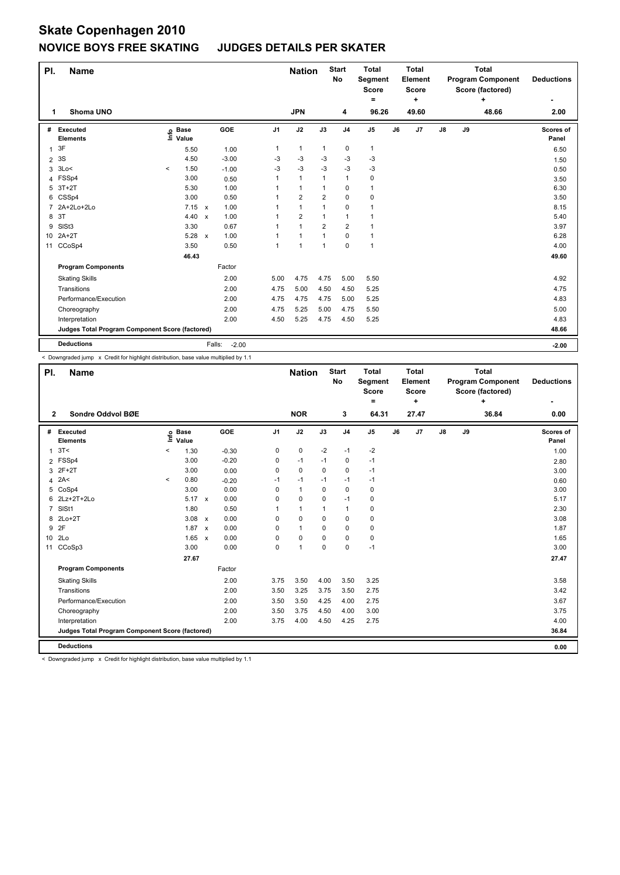## **Skate Copenhagen 2010 NOVICE BOYS FREE SKATING JUDGES DETAILS PER SKATER**

| PI.             | <b>Name</b>                                     |       |               |              |                   |                | <b>Nation</b>  |                | <b>Start</b><br>No | <b>Total</b><br>Segment<br><b>Score</b> |    | <b>Total</b><br>Element<br><b>Score</b> |    |    | <b>Total</b><br><b>Program Component</b><br>Score (factored) | <b>Deductions</b>  |
|-----------------|-------------------------------------------------|-------|---------------|--------------|-------------------|----------------|----------------|----------------|--------------------|-----------------------------------------|----|-----------------------------------------|----|----|--------------------------------------------------------------|--------------------|
| 1               | Shoma UNO                                       |       |               |              |                   |                | <b>JPN</b>     |                | 4                  | Ξ.<br>96.26                             |    | ÷<br>49.60                              |    |    | ٠<br>48.66                                                   | 2.00               |
|                 |                                                 |       |               |              |                   |                |                |                |                    |                                         |    |                                         |    |    |                                                              |                    |
| #               | Executed<br><b>Elements</b>                     | ١nfo  | Base<br>Value |              | GOE               | J <sub>1</sub> | J2             | J3             | J <sub>4</sub>     | J <sub>5</sub>                          | J6 | J7                                      | J8 | J9 |                                                              | Scores of<br>Panel |
| 1               | 3F                                              |       | 5.50          |              | 1.00              | 1              | $\mathbf{1}$   | $\mathbf{1}$   | 0                  | $\mathbf{1}$                            |    |                                         |    |    |                                                              | 6.50               |
| $\overline{2}$  | 3S                                              |       | 4.50          |              | $-3.00$           | -3             | $-3$           | -3             | -3                 | $-3$                                    |    |                                         |    |    |                                                              |                    |
| 3               | 3Lo<                                            | $\,<$ | 1.50          |              | $-1.00$           | $-3$           | $-3$           | $-3$           | $-3$               | $-3$                                    |    |                                         |    |    |                                                              | 1.50<br>0.50       |
| 4               | FSSp4                                           |       | 3.00          |              | 0.50              | 1              | $\mathbf{1}$   | 1              | $\overline{1}$     | $\pmb{0}$                               |    |                                         |    |    |                                                              | 3.50               |
| 5               | $3T+2T$                                         |       | 5.30          |              | 1.00              | 1              | $\mathbf{1}$   | $\mathbf 1$    | 0                  | 1                                       |    |                                         |    |    |                                                              | 6.30               |
| 6               | CSSp4                                           |       | 3.00          |              | 0.50              | 1              | $\overline{2}$ | $\overline{2}$ | $\mathbf 0$        | $\pmb{0}$                               |    |                                         |    |    |                                                              | 3.50               |
| 7               | 2A+2Lo+2Lo                                      |       | $7.15 \times$ |              | 1.00              | 1              | $\mathbf{1}$   | 1              | 0                  | $\mathbf{1}$                            |    |                                         |    |    |                                                              | 8.15               |
| 8               | 3T                                              |       | 4.40          | $\mathsf{x}$ | 1.00              | 1              | $\overline{2}$ | 1              | $\overline{1}$     | 1                                       |    |                                         |    |    |                                                              | 5.40               |
| 9               | SISt <sub>3</sub>                               |       | 3.30          |              | 0.67              | 1              | $\mathbf{1}$   | 2              | $\overline{2}$     | 1                                       |    |                                         |    |    |                                                              | 3.97               |
| 10 <sup>1</sup> | $2A+2T$                                         |       | 5.28          | $\mathsf{x}$ | 1.00              | 1              | $\mathbf{1}$   | 1              | $\mathbf 0$        | $\mathbf{1}$                            |    |                                         |    |    |                                                              | 6.28               |
| 11              | CCoSp4                                          |       | 3.50          |              | 0.50              | 1              | $\mathbf{1}$   | 1              | 0                  | $\mathbf{1}$                            |    |                                         |    |    |                                                              | 4.00               |
|                 |                                                 |       | 46.43         |              |                   |                |                |                |                    |                                         |    |                                         |    |    |                                                              | 49.60              |
|                 | <b>Program Components</b>                       |       |               |              | Factor            |                |                |                |                    |                                         |    |                                         |    |    |                                                              |                    |
|                 | <b>Skating Skills</b>                           |       |               |              | 2.00              | 5.00           | 4.75           | 4.75           | 5.00               | 5.50                                    |    |                                         |    |    |                                                              | 4.92               |
|                 | Transitions                                     |       |               |              | 2.00              | 4.75           | 5.00           | 4.50           | 4.50               | 5.25                                    |    |                                         |    |    |                                                              | 4.75               |
|                 | Performance/Execution                           |       |               |              | 2.00              | 4.75           | 4.75           | 4.75           | 5.00               | 5.25                                    |    |                                         |    |    |                                                              | 4.83               |
|                 | Choreography                                    |       |               |              | 2.00              | 4.75           | 5.25           | 5.00           | 4.75               | 5.50                                    |    |                                         |    |    |                                                              | 5.00               |
|                 | Interpretation                                  |       |               |              | 2.00              | 4.50           | 5.25           | 4.75           | 4.50               | 5.25                                    |    |                                         |    |    |                                                              | 4.83               |
|                 | Judges Total Program Component Score (factored) |       |               |              |                   |                |                |                |                    |                                         |    |                                         |    |    |                                                              | 48.66              |
|                 | <b>Deductions</b>                               |       |               |              | Falls:<br>$-2.00$ |                |                |                |                    |                                         |    |                                         |    |    |                                                              | $-2.00$            |

< Downgraded jump x Credit for highlight distribution, base value multiplied by 1.1

| PI.<br><b>Name</b> |                                                 |         |                            |                           |            |                | <b>Nation</b> |          | <b>Start</b><br>No | <b>Total</b><br>Segment<br><b>Score</b><br>۰ |    | <b>Total</b><br>Element<br><b>Score</b><br>÷ |               | <b>Total</b><br><b>Program Component</b><br>Score (factored)<br>٠ |       | <b>Deductions</b>  |
|--------------------|-------------------------------------------------|---------|----------------------------|---------------------------|------------|----------------|---------------|----------|--------------------|----------------------------------------------|----|----------------------------------------------|---------------|-------------------------------------------------------------------|-------|--------------------|
| $\overline{2}$     | Sondre Oddvol BØE                               |         |                            |                           |            |                | <b>NOR</b>    |          | 3                  | 64.31                                        |    | 27.47                                        |               |                                                                   | 36.84 | 0.00               |
| #                  | Executed<br><b>Elements</b>                     |         | e Base<br>E Value<br>Value |                           | <b>GOE</b> | J <sub>1</sub> | J2            | J3       | J <sub>4</sub>     | J <sub>5</sub>                               | J6 | J7                                           | $\mathsf{J}8$ | J9                                                                |       | Scores of<br>Panel |
| $\mathbf{1}$       | 3T<                                             | $\,<\,$ | 1.30                       |                           | $-0.30$    | 0              | 0             | $-2$     | $-1$               | $-2$                                         |    |                                              |               |                                                                   |       | 1.00               |
|                    | 2 FSSp4                                         |         | 3.00                       |                           | $-0.20$    | 0              | $-1$          | $-1$     | $\mathbf 0$        | $-1$                                         |    |                                              |               |                                                                   |       | 2.80               |
| 3                  | $2F+2T$                                         |         | 3.00                       |                           | 0.00       | 0              | $\mathbf 0$   | $\Omega$ | 0                  | $-1$                                         |    |                                              |               |                                                                   |       | 3.00               |
| 4                  | 2A<                                             | $\,<\,$ | 0.80                       |                           | $-0.20$    | $-1$           | $-1$          | -1       | $-1$               | $-1$                                         |    |                                              |               |                                                                   |       | 0.60               |
| 5                  | CoSp4                                           |         | 3.00                       |                           | 0.00       | 0              | $\mathbf{1}$  | 0        | $\mathbf 0$        | 0                                            |    |                                              |               |                                                                   |       | 3.00               |
| 6                  | 2Lz+2T+2Lo                                      |         | $5.17 \times$              |                           | 0.00       | 0              | $\mathbf 0$   | 0        | $-1$               | 0                                            |    |                                              |               |                                                                   |       | 5.17               |
| $\overline{7}$     | SIS <sub>t1</sub>                               |         | 1.80                       |                           | 0.50       |                | $\mathbf{1}$  | 1        | $\mathbf{1}$       | 0                                            |    |                                              |               |                                                                   |       | 2.30               |
| 8                  | $2Lo+2T$                                        |         | 3.08                       | $\mathsf{x}$              | 0.00       | 0              | $\mathbf 0$   | $\Omega$ | $\mathbf 0$        | 0                                            |    |                                              |               |                                                                   |       | 3.08               |
|                    | 9 2F                                            |         | 1.87                       | $\boldsymbol{\mathsf{x}}$ | 0.00       | 0              | $\mathbf{1}$  | 0        | $\mathbf 0$        | 0                                            |    |                                              |               |                                                                   |       | 1.87               |
|                    | 10 2Lo                                          |         | $1.65 \times$              |                           | 0.00       | 0              | $\mathbf 0$   | $\Omega$ | 0                  | 0                                            |    |                                              |               |                                                                   |       | 1.65               |
|                    | 11 CCoSp3                                       |         | 3.00                       |                           | 0.00       | 0              | $\mathbf{1}$  | $\Omega$ | 0                  | $-1$                                         |    |                                              |               |                                                                   |       | 3.00               |
|                    |                                                 |         | 27.67                      |                           |            |                |               |          |                    |                                              |    |                                              |               |                                                                   |       | 27.47              |
|                    | <b>Program Components</b>                       |         |                            |                           | Factor     |                |               |          |                    |                                              |    |                                              |               |                                                                   |       |                    |
|                    | <b>Skating Skills</b>                           |         |                            |                           | 2.00       | 3.75           | 3.50          | 4.00     | 3.50               | 3.25                                         |    |                                              |               |                                                                   |       | 3.58               |
|                    | Transitions                                     |         |                            |                           | 2.00       | 3.50           | 3.25          | 3.75     | 3.50               | 2.75                                         |    |                                              |               |                                                                   |       | 3.42               |
|                    | Performance/Execution                           |         |                            |                           | 2.00       | 3.50           | 3.50          | 4.25     | 4.00               | 2.75                                         |    |                                              |               |                                                                   |       | 3.67               |
|                    | Choreography                                    |         |                            |                           | 2.00       | 3.50           | 3.75          | 4.50     | 4.00               | 3.00                                         |    |                                              |               |                                                                   |       | 3.75               |
|                    | Interpretation                                  |         |                            |                           | 2.00       | 3.75           | 4.00          | 4.50     | 4.25               | 2.75                                         |    |                                              |               |                                                                   |       | 4.00               |
|                    | Judges Total Program Component Score (factored) |         |                            |                           |            |                |               |          |                    |                                              |    |                                              |               |                                                                   |       | 36.84              |
|                    | <b>Deductions</b>                               |         |                            |                           |            |                |               |          |                    |                                              |    |                                              |               |                                                                   |       | 0.00               |

< Downgraded jump x Credit for highlight distribution, base value multiplied by 1.1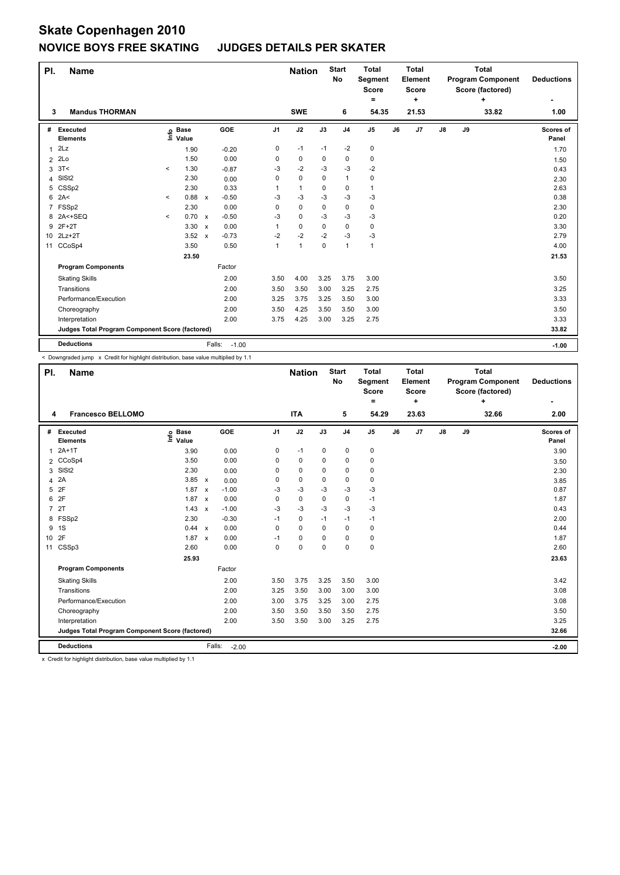## **Skate Copenhagen 2010 NOVICE BOYS FREE SKATING JUDGES DETAILS PER SKATER**

| PI.            | <b>Name</b>                                     |              |                      |              |                   |                | <b>Nation</b> |      | <b>Start</b><br>No | <b>Total</b><br><b>Segment</b><br><b>Score</b><br>۰ |    | <b>Total</b><br>Element<br><b>Score</b><br>٠ |    |    | <b>Total</b><br><b>Program Component</b><br>Score (factored)<br>٠ | <b>Deductions</b>  |
|----------------|-------------------------------------------------|--------------|----------------------|--------------|-------------------|----------------|---------------|------|--------------------|-----------------------------------------------------|----|----------------------------------------------|----|----|-------------------------------------------------------------------|--------------------|
| 3              | <b>Mandus THORMAN</b>                           |              |                      |              |                   |                | <b>SWE</b>    |      | 6                  | 54.35                                               |    | 21.53                                        |    |    | 33.82                                                             | 1.00               |
| #              | <b>Executed</b><br><b>Elements</b>              | ١nfo         | <b>Base</b><br>Value |              | GOE               | J <sub>1</sub> | J2            | J3   | J <sub>4</sub>     | J <sub>5</sub>                                      | J6 | J7                                           | J8 | J9 |                                                                   | Scores of<br>Panel |
| 1              | 2Lz                                             |              | 1.90                 |              | $-0.20$           | 0              | $-1$          | $-1$ | $-2$               | 0                                                   |    |                                              |    |    |                                                                   | 1.70               |
| $\overline{2}$ | 2Lo                                             |              | 1.50                 |              | 0.00              | 0              | 0             | 0    | 0                  | 0                                                   |    |                                              |    |    |                                                                   | 1.50               |
| 3              | 3T<                                             | $\,<\,$      | 1.30                 |              | $-0.87$           | -3             | $-2$          | -3   | -3                 | -2                                                  |    |                                              |    |    |                                                                   | 0.43               |
| 4              | SISt <sub>2</sub>                               |              | 2.30                 |              | 0.00              | 0              | $\mathbf 0$   | 0    | $\mathbf{1}$       | 0                                                   |    |                                              |    |    |                                                                   | 2.30               |
| 5              | CSSp2                                           |              | 2.30                 |              | 0.33              | 1              | $\mathbf{1}$  | 0    | 0                  | $\mathbf{1}$                                        |    |                                              |    |    |                                                                   | 2.63               |
| 6              | 2A<                                             | $\,<\,$      | 0.88                 | $\mathsf{x}$ | $-0.50$           | -3             | $-3$          | $-3$ | $-3$               | $-3$                                                |    |                                              |    |    |                                                                   | 0.38               |
| 7              | FSSp2                                           |              | 2.30                 |              | 0.00              | 0              | 0             | 0    | 0                  | 0                                                   |    |                                              |    |    |                                                                   | 2.30               |
| 8              | $2A < +SEQ$                                     | $\checkmark$ | 0.70                 | $\mathsf{x}$ | $-0.50$           | $-3$           | 0             | $-3$ | $-3$               | $-3$                                                |    |                                              |    |    |                                                                   | 0.20               |
|                | 9 2F+2T                                         |              | 3.30                 | $\mathsf{x}$ | 0.00              | 1              | 0             | 0    | 0                  | 0                                                   |    |                                              |    |    |                                                                   | 3.30               |
|                | 10 2Lz+2T                                       |              | 3.52                 | $\mathsf{x}$ | $-0.73$           | $-2$           | $-2$          | $-2$ | $-3$               | $-3$                                                |    |                                              |    |    |                                                                   | 2.79               |
| 11             | CCoSp4                                          |              | 3.50                 |              | 0.50              | $\mathbf{1}$   | 1             | 0    | $\mathbf{1}$       | $\mathbf{1}$                                        |    |                                              |    |    |                                                                   | 4.00               |
|                |                                                 |              | 23.50                |              |                   |                |               |      |                    |                                                     |    |                                              |    |    |                                                                   | 21.53              |
|                | <b>Program Components</b>                       |              |                      |              | Factor            |                |               |      |                    |                                                     |    |                                              |    |    |                                                                   |                    |
|                | <b>Skating Skills</b>                           |              |                      |              | 2.00              | 3.50           | 4.00          | 3.25 | 3.75               | 3.00                                                |    |                                              |    |    |                                                                   | 3.50               |
|                | Transitions                                     |              |                      |              | 2.00              | 3.50           | 3.50          | 3.00 | 3.25               | 2.75                                                |    |                                              |    |    |                                                                   | 3.25               |
|                | Performance/Execution                           |              |                      |              | 2.00              | 3.25           | 3.75          | 3.25 | 3.50               | 3.00                                                |    |                                              |    |    |                                                                   | 3.33               |
|                | Choreography                                    |              |                      |              | 2.00              | 3.50           | 4.25          | 3.50 | 3.50               | 3.00                                                |    |                                              |    |    |                                                                   | 3.50               |
|                | Interpretation                                  |              |                      |              | 2.00              | 3.75           | 4.25          | 3.00 | 3.25               | 2.75                                                |    |                                              |    |    |                                                                   | 3.33               |
|                | Judges Total Program Component Score (factored) |              |                      |              |                   |                |               |      |                    |                                                     |    |                                              |    |    |                                                                   | 33.82              |
|                | <b>Deductions</b>                               |              |                      |              | Falls:<br>$-1.00$ |                |               |      |                    |                                                     |    |                                              |    |    |                                                                   | $-1.00$            |

< Downgraded jump x Credit for highlight distribution, base value multiplied by 1.1

| PI.             | <b>Name</b>                                     |                            |              |         | <b>Nation</b>  |             | <b>Start</b><br>No | <b>Total</b><br>Segment<br><b>Score</b><br>۰ |                | <b>Total</b><br>Element<br><b>Score</b><br>٠ |       |               | <b>Total</b><br><b>Program Component</b><br>Score (factored)<br>٠ | <b>Deductions</b> |                    |
|-----------------|-------------------------------------------------|----------------------------|--------------|---------|----------------|-------------|--------------------|----------------------------------------------|----------------|----------------------------------------------|-------|---------------|-------------------------------------------------------------------|-------------------|--------------------|
| 4               | <b>Francesco BELLOMO</b>                        |                            |              |         |                | <b>ITA</b>  |                    | 5                                            | 54.29          |                                              | 23.63 |               |                                                                   | 32.66             | 2.00               |
| #               | Executed<br><b>Elements</b>                     | e Base<br>E Value<br>Value |              | GOE     | J <sub>1</sub> | J2          | J3                 | J <sub>4</sub>                               | J <sub>5</sub> | J6                                           | J7    | $\mathsf{J}8$ | J9                                                                |                   | Scores of<br>Panel |
| 1               | $2A+1T$                                         | 3.90                       |              | 0.00    | 0              | $-1$        | 0                  | 0                                            | 0              |                                              |       |               |                                                                   |                   | 3.90               |
|                 | 2 CCoSp4                                        | 3.50                       |              | 0.00    | 0              | $\mathbf 0$ | $\mathbf 0$        | $\mathbf 0$                                  | 0              |                                              |       |               |                                                                   |                   | 3.50               |
| 3               | SISt <sub>2</sub>                               | 2.30                       |              | 0.00    | 0              | $\mathbf 0$ | $\Omega$           | $\mathbf 0$                                  | 0              |                                              |       |               |                                                                   |                   | 2.30               |
| $\overline{4}$  | 2A                                              | 3.85                       | $\mathsf{x}$ | 0.00    | $\Omega$       | 0           | $\Omega$           | 0                                            | 0              |                                              |       |               |                                                                   |                   | 3.85               |
| 5               | 2F                                              | 1.87                       | $\mathsf{x}$ | $-1.00$ | -3             | $-3$        | -3                 | $-3$                                         | $-3$           |                                              |       |               |                                                                   |                   | 0.87               |
| 6               | 2F                                              | 1.87                       | $\mathsf{x}$ | 0.00    | 0              | $\mathbf 0$ | 0                  | 0                                            | $-1$           |                                              |       |               |                                                                   |                   | 1.87               |
|                 | 7 2T                                            | 1.43                       | $\mathsf{x}$ | $-1.00$ | $-3$           | $-3$        | -3                 | $-3$                                         | $-3$           |                                              |       |               |                                                                   |                   | 0.43               |
| 8               | FSSp2                                           | 2.30                       |              | $-0.30$ | $-1$           | 0           | $-1$               | $-1$                                         | $-1$           |                                              |       |               |                                                                   |                   | 2.00               |
| 9               | 1S                                              | 0.44                       | $\mathsf{x}$ | 0.00    | 0              | $\mathbf 0$ | 0                  | $\mathbf 0$                                  | 0              |                                              |       |               |                                                                   |                   | 0.44               |
| 10 <sup>1</sup> | 2F                                              | 1.87                       | $\mathsf{x}$ | 0.00    | $-1$           | 0           | $\Omega$           | 0                                            | 0              |                                              |       |               |                                                                   |                   | 1.87               |
| 11              | CSSp3                                           | 2.60                       |              | 0.00    | 0              | $\mathbf 0$ | 0                  | $\mathbf 0$                                  | $\mathbf 0$    |                                              |       |               |                                                                   |                   | 2.60               |
|                 |                                                 | 25.93                      |              |         |                |             |                    |                                              |                |                                              |       |               |                                                                   |                   | 23.63              |
|                 | <b>Program Components</b>                       |                            |              | Factor  |                |             |                    |                                              |                |                                              |       |               |                                                                   |                   |                    |
|                 | <b>Skating Skills</b>                           |                            |              | 2.00    | 3.50           | 3.75        | 3.25               | 3.50                                         | 3.00           |                                              |       |               |                                                                   |                   | 3.42               |
|                 | Transitions                                     |                            |              | 2.00    | 3.25           | 3.50        | 3.00               | 3.00                                         | 3.00           |                                              |       |               |                                                                   |                   | 3.08               |
|                 | Performance/Execution                           |                            |              | 2.00    | 3.00           | 3.75        | 3.25               | 3.00                                         | 2.75           |                                              |       |               |                                                                   |                   | 3.08               |
|                 | Choreography                                    |                            |              | 2.00    | 3.50           | 3.50        | 3.50               | 3.50                                         | 2.75           |                                              |       |               |                                                                   |                   | 3.50               |
|                 | Interpretation                                  |                            |              | 2.00    | 3.50           | 3.50        | 3.00               | 3.25                                         | 2.75           |                                              |       |               |                                                                   |                   | 3.25               |
|                 | Judges Total Program Component Score (factored) |                            |              |         |                |             |                    |                                              |                |                                              |       |               |                                                                   |                   | 32.66              |
|                 | <b>Deductions</b>                               |                            | Falls:       | $-2.00$ |                |             |                    |                                              |                |                                              |       |               |                                                                   |                   | $-2.00$            |

x Credit for highlight distribution, base value multiplied by 1.1